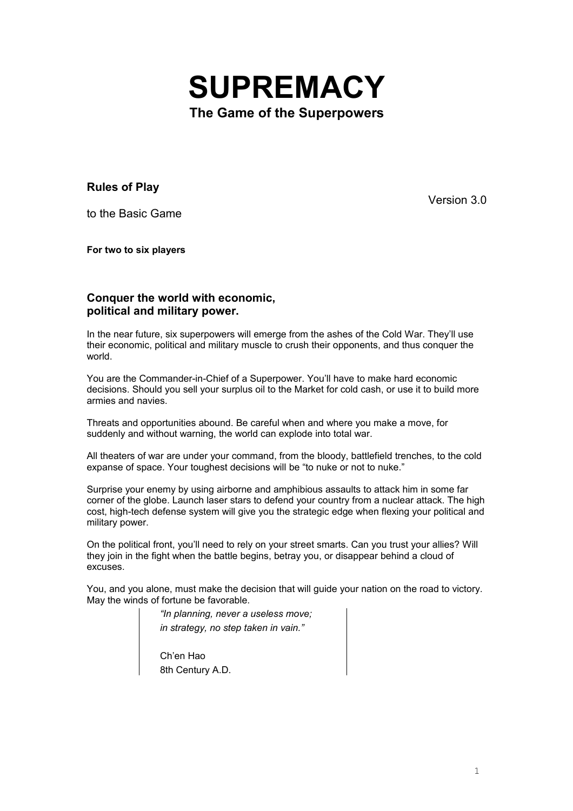

**Rules of Play**

to the Basic Game

Version 3.0

**For two to six players**

# **Conquer the world with economic, political and military power.**

In the near future, six superpowers will emerge from the ashes of the Cold War. They'll use their economic, political and military muscle to crush their opponents, and thus conquer the world.

You are the Commander-in-Chief of a Superpower. You'll have to make hard economic decisions. Should you sell your surplus oil to the Market for cold cash, or use it to build more armies and navies.

Threats and opportunities abound. Be careful when and where you make a move, for suddenly and without warning, the world can explode into total war.

All theaters of war are under your command, from the bloody, battlefield trenches, to the cold expanse of space. Your toughest decisions will be "to nuke or not to nuke."

Surprise your enemy by using airborne and amphibious assaults to attack him in some far corner of the globe. Launch laser stars to defend your country from a nuclear attack. The high cost, high-tech defense system will give you the strategic edge when flexing your political and military power.

On the political front, you'll need to rely on your street smarts. Can you trust your allies? Will they join in the fight when the battle begins, betray you, or disappear behind a cloud of excuses.

You, and you alone, must make the decision that will guide your nation on the road to victory. May the winds of fortune be favorable.

> *"In planning, never a useless move; in strategy, no step taken in vain."*

Ch'en Hao 8th Century A.D.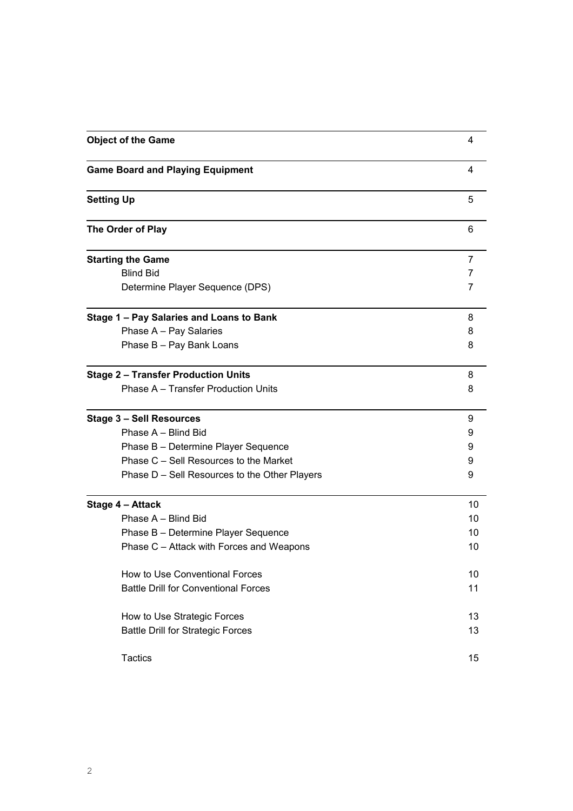| <b>Object of the Game</b>                     | 4  |
|-----------------------------------------------|----|
| <b>Game Board and Playing Equipment</b>       | 4  |
| <b>Setting Up</b>                             | 5  |
| The Order of Play                             | 6  |
| <b>Starting the Game</b>                      | 7  |
| <b>Blind Bid</b>                              | 7  |
| Determine Player Sequence (DPS)               | 7  |
| Stage 1 - Pay Salaries and Loans to Bank      | 8  |
| Phase A - Pay Salaries                        | 8  |
| Phase B - Pay Bank Loans                      | 8  |
| <b>Stage 2 - Transfer Production Units</b>    | 8  |
| Phase A - Transfer Production Units           | 8  |
| <b>Stage 3 - Sell Resources</b>               | 9  |
| Phase A - Blind Bid                           | 9  |
| Phase B - Determine Player Sequence           | 9  |
| Phase C - Sell Resources to the Market        | 9  |
| Phase D - Sell Resources to the Other Players | 9  |
| Stage 4 - Attack                              | 10 |
| Phase A - Blind Bid                           | 10 |
| Phase B - Determine Player Sequence           | 10 |
| Phase C - Attack with Forces and Weapons      | 10 |
| How to Use Conventional Forces                | 10 |
| <b>Battle Drill for Conventional Forces</b>   | 11 |
| How to Use Strategic Forces                   | 13 |
| <b>Battle Drill for Strategic Forces</b>      | 13 |
| <b>Tactics</b>                                | 15 |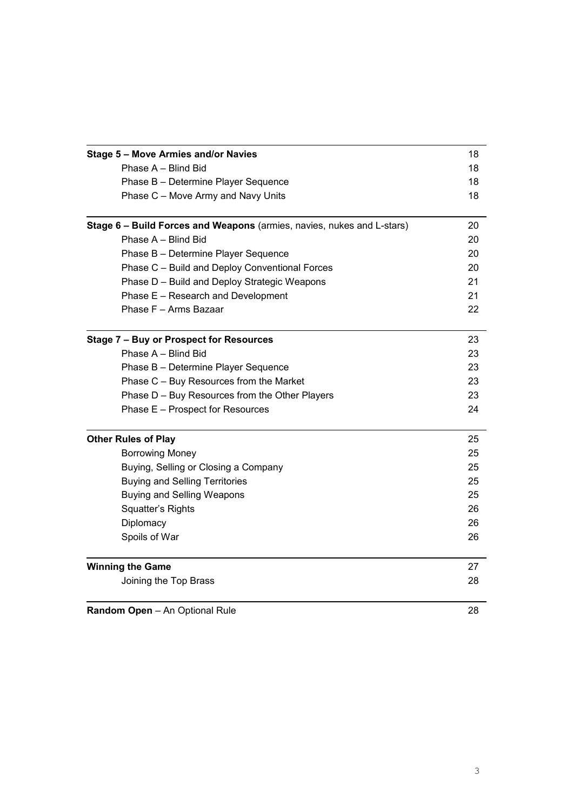| Stage 5 - Move Armies and/or Navies                                       | 18 |  |  |                                                                        |
|---------------------------------------------------------------------------|----|--|--|------------------------------------------------------------------------|
| Phase A - Blind Bid                                                       |    |  |  |                                                                        |
| Phase B - Determine Player Sequence<br>Phase C - Move Army and Navy Units |    |  |  |                                                                        |
|                                                                           |    |  |  | Stage 6 - Build Forces and Weapons (armies, navies, nukes and L-stars) |
| Phase A - Blind Bid                                                       |    |  |  |                                                                        |
| Phase B - Determine Player Sequence                                       |    |  |  |                                                                        |
| Phase C - Build and Deploy Conventional Forces                            |    |  |  |                                                                        |
| Phase D - Build and Deploy Strategic Weapons                              |    |  |  |                                                                        |
| Phase E - Research and Development                                        | 21 |  |  |                                                                        |
| Phase F - Arms Bazaar                                                     | 22 |  |  |                                                                        |
| Stage 7 - Buy or Prospect for Resources                                   | 23 |  |  |                                                                        |
| Phase A - Blind Bid                                                       | 23 |  |  |                                                                        |
| Phase B - Determine Player Sequence                                       | 23 |  |  |                                                                        |
| Phase C - Buy Resources from the Market                                   | 23 |  |  |                                                                        |
| Phase D - Buy Resources from the Other Players                            | 23 |  |  |                                                                        |
| Phase E - Prospect for Resources                                          | 24 |  |  |                                                                        |
| <b>Other Rules of Play</b>                                                | 25 |  |  |                                                                        |
| <b>Borrowing Money</b>                                                    | 25 |  |  |                                                                        |
| Buying, Selling or Closing a Company                                      | 25 |  |  |                                                                        |
| <b>Buying and Selling Territories</b>                                     | 25 |  |  |                                                                        |
| <b>Buying and Selling Weapons</b>                                         | 25 |  |  |                                                                        |
| Squatter's Rights                                                         | 26 |  |  |                                                                        |
| Diplomacy                                                                 | 26 |  |  |                                                                        |
| Spoils of War                                                             | 26 |  |  |                                                                        |
| <b>Winning the Game</b>                                                   | 27 |  |  |                                                                        |
| Joining the Top Brass                                                     | 28 |  |  |                                                                        |
| Random Open - An Optional Rule                                            | 28 |  |  |                                                                        |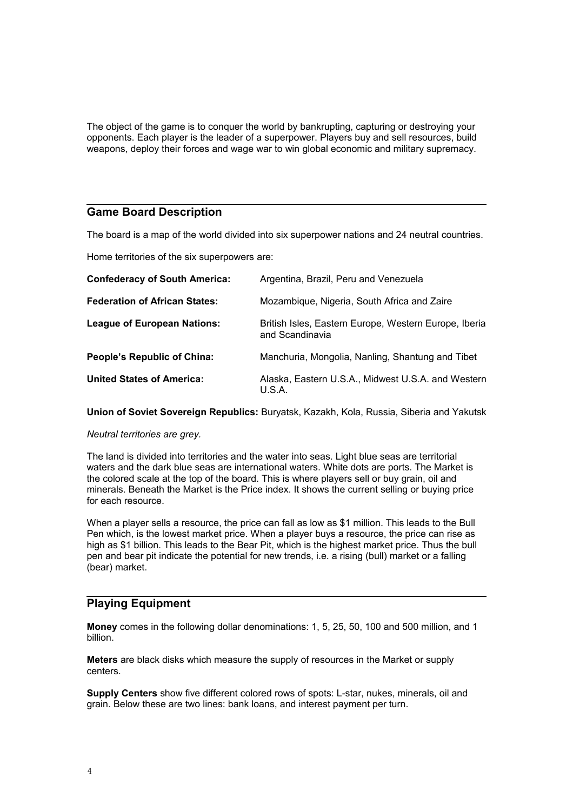The object of the game is to conquer the world by bankrupting, capturing or destroying your opponents. Each player is the leader of a superpower. Players buy and sell resources, build weapons, deploy their forces and wage war to win global economic and military supremacy.

## **Game Board Description**

The board is a map of the world divided into six superpower nations and 24 neutral countries.

Home territories of the six superpowers are:

| <b>Confederacy of South America:</b> | Argentina, Brazil, Peru and Venezuela                                    |
|--------------------------------------|--------------------------------------------------------------------------|
| <b>Federation of African States:</b> | Mozambique, Nigeria, South Africa and Zaire                              |
| <b>League of European Nations:</b>   | British Isles, Eastern Europe, Western Europe, Iberia<br>and Scandinavia |
| People's Republic of China:          | Manchuria, Mongolia, Nanling, Shantung and Tibet                         |
| <b>United States of America:</b>     | Alaska, Eastern U.S.A., Midwest U.S.A. and Western<br>U.S.A.             |

**Union of Soviet Sovereign Republics:** Buryatsk, Kazakh, Kola, Russia, Siberia and Yakutsk

## *Neutral territories are grey.*

The land is divided into territories and the water into seas. Light blue seas are territorial waters and the dark blue seas are international waters. White dots are ports. The Market is the colored scale at the top of the board. This is where players sell or buy grain, oil and minerals. Beneath the Market is the Price index. It shows the current selling or buying price for each resource.

When a player sells a resource, the price can fall as low as \$1 million. This leads to the Bull Pen which, is the lowest market price. When a player buys a resource, the price can rise as high as \$1 billion. This leads to the Bear Pit, which is the highest market price. Thus the bull pen and bear pit indicate the potential for new trends, i.e. a rising (bull) market or a falling (bear) market.

# **Playing Equipment**

**Money** comes in the following dollar denominations: 1, 5, 25, 50, 100 and 500 million, and 1 billion.

**Meters** are black disks which measure the supply of resources in the Market or supply centers.

**Supply Centers** show five different colored rows of spots: L-star, nukes, minerals, oil and grain. Below these are two lines: bank loans, and interest payment per turn.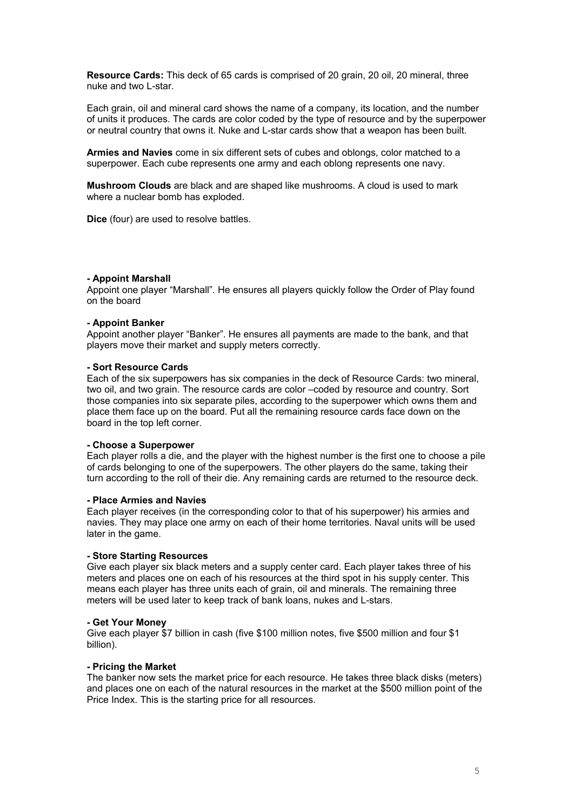**Resource Cards:** This deck of 65 cards is comprised of 20 grain, 20 oil, 20 mineral, three nuke and two L-star.

Each grain, oil and mineral card shows the name of a company, its location, and the number of units it produces. The cards are color coded by the type of resource and by the superpower or neutral country that owns it. Nuke and L-star cards show that a weapon has been built.

**Armies and Navies** come in six different sets of cubes and oblongs, color matched to a superpower. Each cube represents one army and each oblong represents one navy.

**Mushroom Clouds** are black and are shaped like mushrooms. A cloud is used to mark where a nuclear bomb has exploded.

**Dice** (four) are used to resolve battles.

#### **- Appoint Marshall**

Appoint one player "Marshall". He ensures all players quickly follow the Order of Play found on the board

#### **- Appoint Banker**

Appoint another player "Banker". He ensures all payments are made to the bank, and that players move their market and supply meters correctly.

#### **- Sort Resource Cards**

Each of the six superpowers has six companies in the deck of Resource Cards: two mineral, two oil, and two grain. The resource cards are color –coded by resource and country. Sort those companies into six separate piles, according to the superpower which owns them and place them face up on the board. Put all the remaining resource cards face down on the board in the top left corner.

#### **- Choose a Superpower**

Each player rolls a die, and the player with the highest number is the first one to choose a pile of cards belonging to one of the superpowers. The other players do the same, taking their turn according to the roll of their die. Any remaining cards are returned to the resource deck.

#### **- Place Armies and Navies**

Each player receives (in the corresponding color to that of his superpower) his armies and navies. They may place one army on each of their home territories. Naval units will be used later in the game.

## **- Store Starting Resources**

Give each player six black meters and a supply center card. Each player takes three of his meters and places one on each of his resources at the third spot in his supply center. This means each player has three units each of grain, oil and minerals. The remaining three meters will be used later to keep track of bank loans, nukes and L-stars.

#### **- Get Your Money**

Give each player \$7 billion in cash (five \$100 million notes, five \$500 million and four \$1 billion).

#### **- Pricing the Market**

The banker now sets the market price for each resource. He takes three black disks (meters) and places one on each of the natural resources in the market at the \$500 million point of the Price Index. This is the starting price for all resources.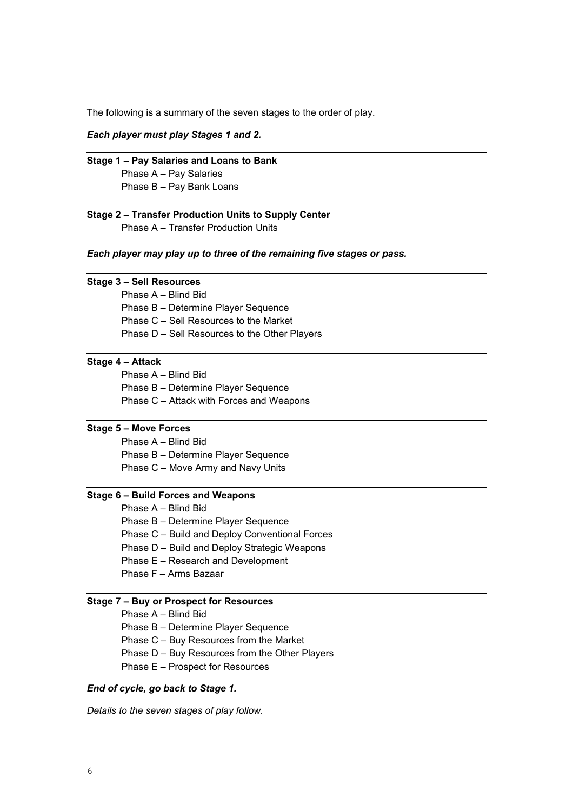The following is a summary of the seven stages to the order of play.

## *Each player must play Stages 1 and 2.*

**Stage 1 – Pay Salaries and Loans to Bank** Phase A – Pay Salaries Phase B – Pay Bank Loans

## **Stage 2 – Transfer Production Units to Supply Center** Phase A – Transfer Production Units

*Each player may play up to three of the remaining five stages or pass.*

## **Stage 3 – Sell Resources**

Phase A – Blind Bid

Phase B – Determine Player Sequence

Phase C – Sell Resources to the Market

Phase D – Sell Resources to the Other Players

## **Stage 4 – Attack**

Phase A – Blind Bid

- Phase B Determine Player Sequence
- Phase C Attack with Forces and Weapons

## **Stage 5 – Move Forces**

Phase A – Blind Bid

- Phase B Determine Player Sequence
- Phase C Move Army and Navy Units

## **Stage 6 – Build Forces and Weapons**

- Phase A Blind Bid
- Phase B Determine Player Sequence
- Phase C Build and Deploy Conventional Forces
- Phase D Build and Deploy Strategic Weapons
- Phase E Research and Development
- Phase F Arms Bazaar

#### **Stage 7 – Buy or Prospect for Resources**

Phase A – Blind Bid

Phase B – Determine Player Sequence

Phase C – Buy Resources from the Market

- Phase D Buy Resources from the Other Players
- Phase E Prospect for Resources

## *End of cycle, go back to Stage 1.*

*Details to the seven stages of play follow.*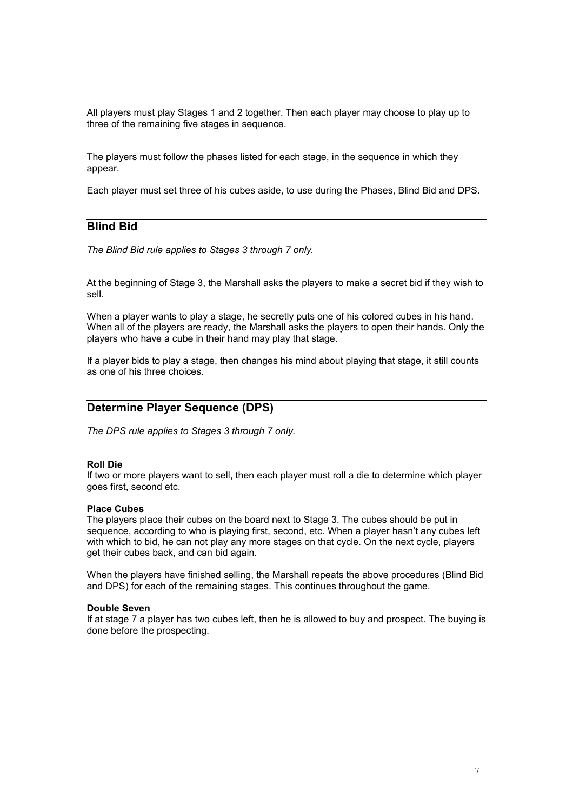All players must play Stages 1 and 2 together. Then each player may choose to play up to three of the remaining five stages in sequence.

The players must follow the phases listed for each stage, in the sequence in which they appear.

Each player must set three of his cubes aside, to use during the Phases, Blind Bid and DPS.

# **Blind Bid**

*The Blind Bid rule applies to Stages 3 through 7 only.*

At the beginning of Stage 3, the Marshall asks the players to make a secret bid if they wish to sell.

When a player wants to play a stage, he secretly puts one of his colored cubes in his hand. When all of the players are ready, the Marshall asks the players to open their hands. Only the players who have a cube in their hand may play that stage.

If a player bids to play a stage, then changes his mind about playing that stage, it still counts as one of his three choices.

# **Determine Player Sequence (DPS)**

*The DPS rule applies to Stages 3 through 7 only.*

#### **Roll Die**

If two or more players want to sell, then each player must roll a die to determine which player goes first, second etc.

#### **Place Cubes**

The players place their cubes on the board next to Stage 3. The cubes should be put in sequence, according to who is playing first, second, etc. When a player hasn't any cubes left with which to bid, he can not play any more stages on that cycle. On the next cycle, players get their cubes back, and can bid again.

When the players have finished selling, the Marshall repeats the above procedures (Blind Bid and DPS) for each of the remaining stages. This continues throughout the game.

#### **Double Seven**

If at stage 7 a player has two cubes left, then he is allowed to buy and prospect. The buying is done before the prospecting.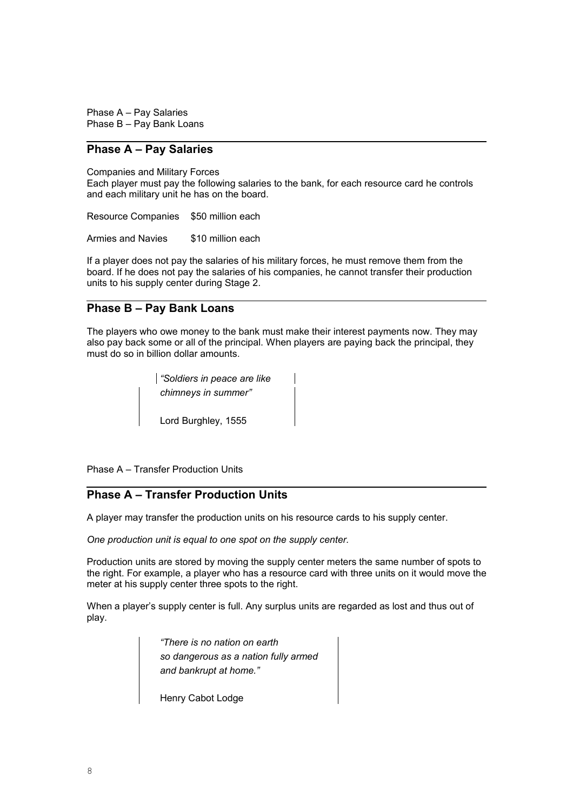Phase A – Pay Salaries Phase B – Pay Bank Loans

# **Phase A – Pay Salaries**

Companies and Military Forces

Each player must pay the following salaries to the bank, for each resource card he controls and each military unit he has on the board.

Resource Companies \$50 million each

Armies and Navies \$10 million each

If a player does not pay the salaries of his military forces, he must remove them from the board. If he does not pay the salaries of his companies, he cannot transfer their production units to his supply center during Stage 2.

# **Phase B – Pay Bank Loans**

The players who owe money to the bank must make their interest payments now. They may also pay back some or all of the principal. When players are paying back the principal, they must do so in billion dollar amounts.

> *"Soldiers in peace are like chimneys in summer"* Lord Burghley, 1555

Phase A – Transfer Production Units

# **Phase A – Transfer Production Units**

A player may transfer the production units on his resource cards to his supply center.

*One production unit is equal to one spot on the supply center.*

Production units are stored by moving the supply center meters the same number of spots to the right. For example, a player who has a resource card with three units on it would move the meter at his supply center three spots to the right.

When a player's supply center is full. Any surplus units are regarded as lost and thus out of play.

> *"There is no nation on earth so dangerous as a nation fully armed and bankrupt at home."*

Henry Cabot Lodge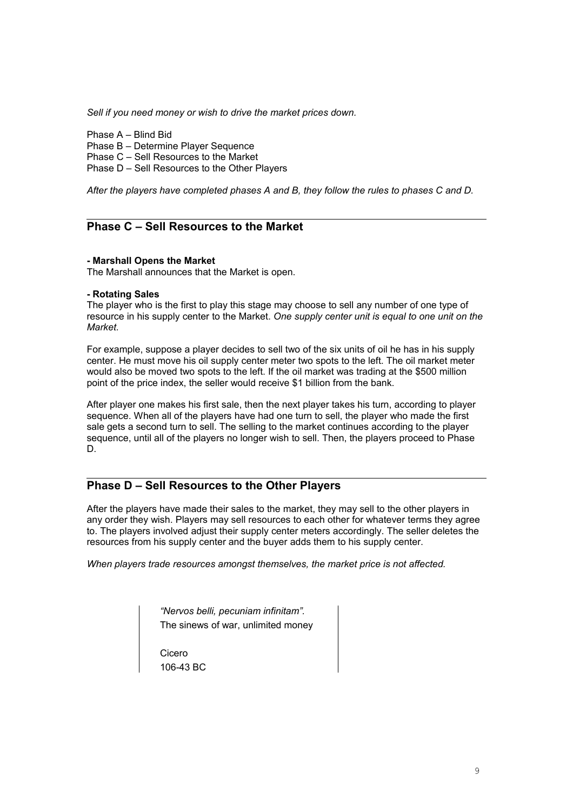*Sell if you need money or wish to drive the market prices down.*

Phase A – Blind Bid

Phase B – Determine Player Sequence

Phase C – Sell Resources to the Market

Phase D – Sell Resources to the Other Players

*After the players have completed phases A and B, they follow the rules to phases C and D.*

# **Phase C – Sell Resources to the Market**

#### **- Marshall Opens the Market**

The Marshall announces that the Market is open.

## **- Rotating Sales**

The player who is the first to play this stage may choose to sell any number of one type of resource in his supply center to the Market. *One supply center unit is equal to one unit on the Market.*

For example, suppose a player decides to sell two of the six units of oil he has in his supply center. He must move his oil supply center meter two spots to the left. The oil market meter would also be moved two spots to the left. If the oil market was trading at the \$500 million point of the price index, the seller would receive \$1 billion from the bank.

After player one makes his first sale, then the next player takes his turn, according to player sequence. When all of the players have had one turn to sell, the player who made the first sale gets a second turn to sell. The selling to the market continues according to the player sequence, until all of the players no longer wish to sell. Then, the players proceed to Phase D.

# **Phase D – Sell Resources to the Other Players**

After the players have made their sales to the market, they may sell to the other players in any order they wish. Players may sell resources to each other for whatever terms they agree to. The players involved adjust their supply center meters accordingly. The seller deletes the resources from his supply center and the buyer adds them to his supply center.

*When players trade resources amongst themselves, the market price is not affected.*

*"Nervos belli, pecuniam infinitam".* The sinews of war, unlimited money

Cicero 106-43 BC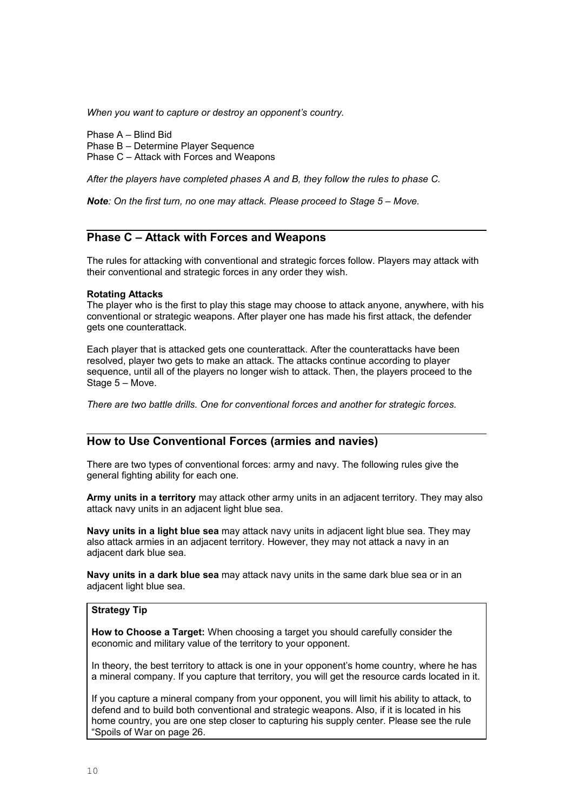*When you want to capture or destroy an opponent's country.*

Phase A – Blind Bid Phase B – Determine Player Sequence Phase C – Attack with Forces and Weapons

*After the players have completed phases A and B, they follow the rules to phase C.*

*Note: On the first turn, no one may attack. Please proceed to Stage 5 – Move.*

# **Phase C – Attack with Forces and Weapons**

The rules for attacking with conventional and strategic forces follow. Players may attack with their conventional and strategic forces in any order they wish.

#### **Rotating Attacks**

The player who is the first to play this stage may choose to attack anyone, anywhere, with his conventional or strategic weapons. After player one has made his first attack, the defender gets one counterattack.

Each player that is attacked gets one counterattack. After the counterattacks have been resolved, player two gets to make an attack. The attacks continue according to player sequence, until all of the players no longer wish to attack. Then, the players proceed to the Stage 5 – Move.

*There are two battle drills. One for conventional forces and another for strategic forces.*

## **How to Use Conventional Forces (armies and navies)**

There are two types of conventional forces: army and navy. The following rules give the general fighting ability for each one.

**Army units in a territory** may attack other army units in an adjacent territory. They may also attack navy units in an adjacent light blue sea.

**Navy units in a light blue sea** may attack navy units in adjacent light blue sea. They may also attack armies in an adjacent territory. However, they may not attack a navy in an adjacent dark blue sea.

**Navy units in a dark blue sea** may attack navy units in the same dark blue sea or in an adiacent light blue sea.

#### **Strategy Tip**

**How to Choose a Target:** When choosing a target you should carefully consider the economic and military value of the territory to your opponent.

In theory, the best territory to attack is one in your opponent's home country, where he has a mineral company. If you capture that territory, you will get the resource cards located in it.

If you capture a mineral company from your opponent, you will limit his ability to attack, to defend and to build both conventional and strategic weapons. Also, if it is located in his home country, you are one step closer to capturing his supply center. Please see the rule "Spoils of War on page 26.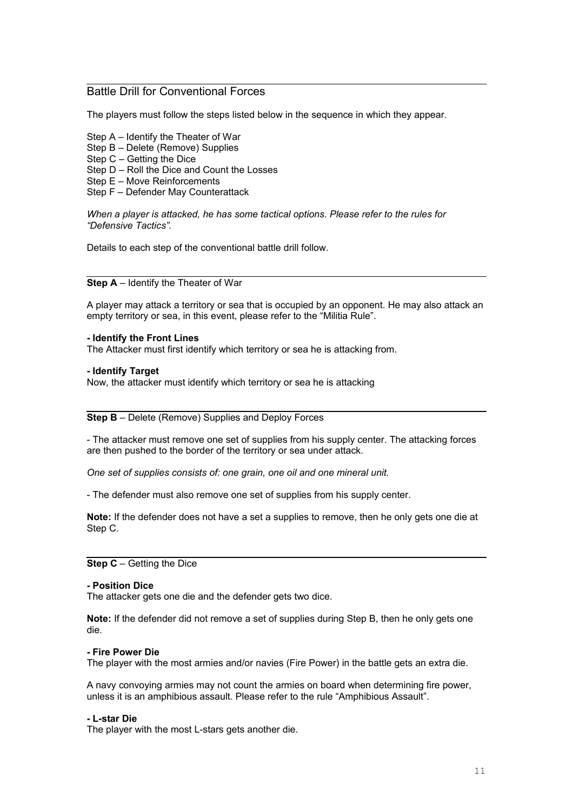# Battle Drill for Conventional Forces

The players must follow the steps listed below in the sequence in which they appear.

- Step A Identify the Theater of War
- Step B Delete (Remove) Supplies
- Step C Getting the Dice
- Step D Roll the Dice and Count the Losses
- Step E Move Reinforcements
- Step F Defender May Counterattack

*When a player is attacked, he has some tactical options. Please refer to the rules for "Defensive Tactics".*

Details to each step of the conventional battle drill follow.

## **Step A** – Identify the Theater of War

A player may attack a territory or sea that is occupied by an opponent. He may also attack an empty territory or sea, in this event, please refer to the "Militia Rule".

#### **- Identify the Front Lines**

The Attacker must first identify which territory or sea he is attacking from.

#### **- Identify Target**

Now, the attacker must identify which territory or sea he is attacking

## **Step B** – Delete (Remove) Supplies and Deploy Forces

- The attacker must remove one set of supplies from his supply center. The attacking forces are then pushed to the border of the territory or sea under attack.

*One set of supplies consists of: one grain, one oil and one mineral unit.*

- The defender must also remove one set of supplies from his supply center.

**Note:** If the defender does not have a set a supplies to remove, then he only gets one die at Step C.

## **Step C** – Getting the Dice

#### **- Position Dice**

The attacker gets one die and the defender gets two dice.

**Note:** If the defender did not remove a set of supplies during Step B, then he only gets one die.

#### **- Fire Power Die**

The player with the most armies and/or navies (Fire Power) in the battle gets an extra die.

A navy convoying armies may not count the armies on board when determining fire power, unless it is an amphibious assault. Please refer to the rule "Amphibious Assault".

#### **- L-star Die**

The player with the most L-stars gets another die.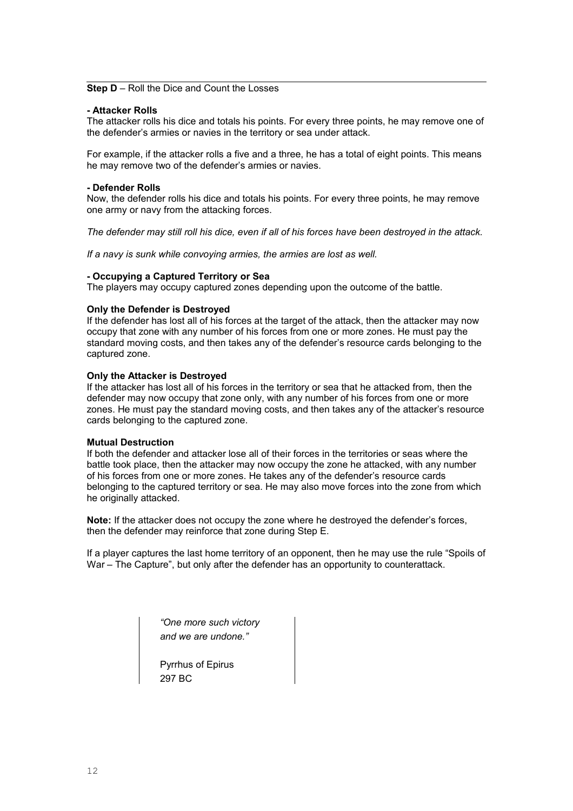### **Step D** – Roll the Dice and Count the Losses

### **- Attacker Rolls**

The attacker rolls his dice and totals his points. For every three points, he may remove one of the defender's armies or navies in the territory or sea under attack.

For example, if the attacker rolls a five and a three, he has a total of eight points. This means he may remove two of the defender's armies or navies.

#### **- Defender Rolls**

Now, the defender rolls his dice and totals his points. For every three points, he may remove one army or navy from the attacking forces.

*The defender may still roll his dice, even if all of his forces have been destroyed in the attack.*

*If a navy is sunk while convoying armies, the armies are lost as well.*

#### **- Occupying a Captured Territory or Sea**

The players may occupy captured zones depending upon the outcome of the battle.

## **Only the Defender is Destroyed**

If the defender has lost all of his forces at the target of the attack, then the attacker may now occupy that zone with any number of his forces from one or more zones. He must pay the standard moving costs, and then takes any of the defender's resource cards belonging to the captured zone.

#### **Only the Attacker is Destroyed**

If the attacker has lost all of his forces in the territory or sea that he attacked from, then the defender may now occupy that zone only, with any number of his forces from one or more zones. He must pay the standard moving costs, and then takes any of the attacker's resource cards belonging to the captured zone.

#### **Mutual Destruction**

If both the defender and attacker lose all of their forces in the territories or seas where the battle took place, then the attacker may now occupy the zone he attacked, with any number of his forces from one or more zones. He takes any of the defender's resource cards belonging to the captured territory or sea. He may also move forces into the zone from which he originally attacked.

**Note:** If the attacker does not occupy the zone where he destroyed the defender's forces, then the defender may reinforce that zone during Step E.

If a player captures the last home territory of an opponent, then he may use the rule "Spoils of War – The Capture", but only after the defender has an opportunity to counterattack.

> *"One more such victory and we are undone."*

Pyrrhus of Epirus 297 BC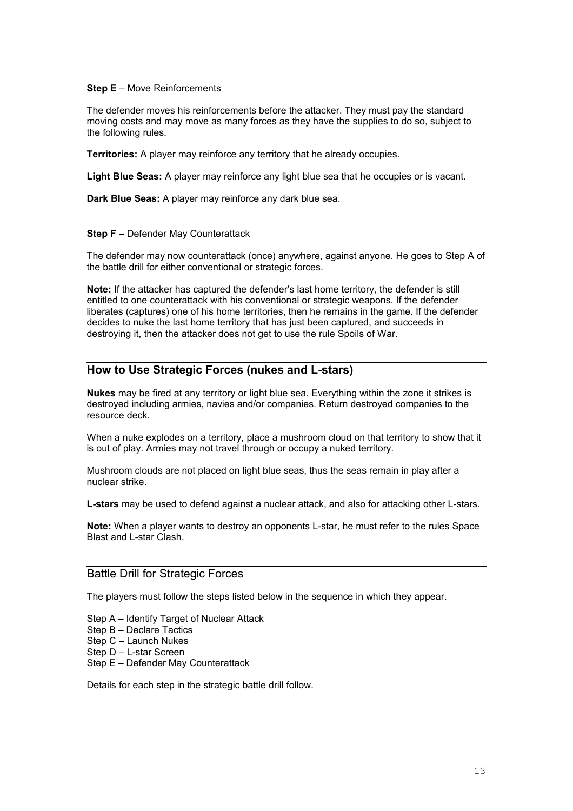## **Step E** – Move Reinforcements

The defender moves his reinforcements before the attacker. They must pay the standard moving costs and may move as many forces as they have the supplies to do so, subject to the following rules.

**Territories:** A player may reinforce any territory that he already occupies.

**Light Blue Seas:** A player may reinforce any light blue sea that he occupies or is vacant.

**Dark Blue Seas:** A player may reinforce any dark blue sea.

#### **Step F** – Defender May Counterattack

The defender may now counterattack (once) anywhere, against anyone. He goes to Step A of the battle drill for either conventional or strategic forces.

**Note:** If the attacker has captured the defender's last home territory, the defender is still entitled to one counterattack with his conventional or strategic weapons. If the defender liberates (captures) one of his home territories, then he remains in the game. If the defender decides to nuke the last home territory that has just been captured, and succeeds in destroying it, then the attacker does not get to use the rule Spoils of War.

## **How to Use Strategic Forces (nukes and L-stars)**

**Nukes** may be fired at any territory or light blue sea. Everything within the zone it strikes is destroyed including armies, navies and/or companies. Return destroyed companies to the resource deck.

When a nuke explodes on a territory, place a mushroom cloud on that territory to show that it is out of play. Armies may not travel through or occupy a nuked territory.

Mushroom clouds are not placed on light blue seas, thus the seas remain in play after a nuclear strike.

**L-stars** may be used to defend against a nuclear attack, and also for attacking other L-stars.

**Note:** When a player wants to destroy an opponents L-star, he must refer to the rules Space Blast and L-star Clash.

## Battle Drill for Strategic Forces

The players must follow the steps listed below in the sequence in which they appear.

- Step A Identify Target of Nuclear Attack
- Step B Declare Tactics
- Step C Launch Nukes
- Step D L-star Screen
- Step E Defender May Counterattack

Details for each step in the strategic battle drill follow.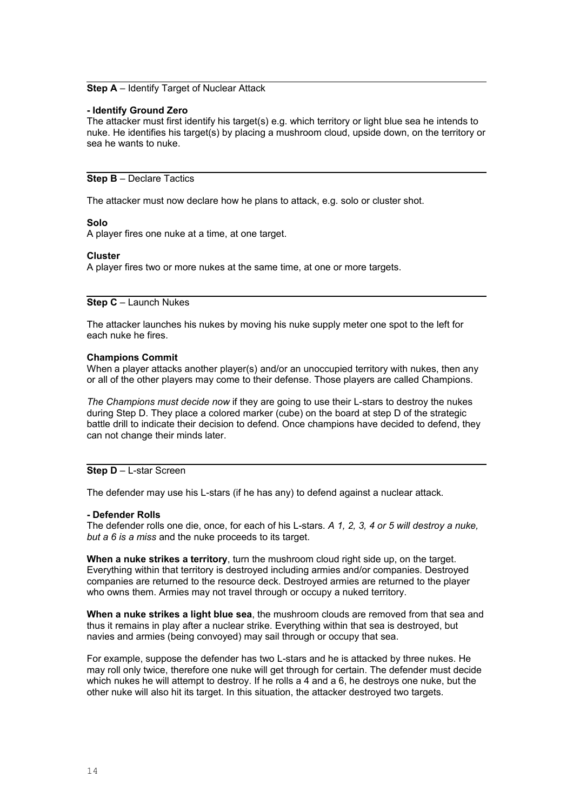### **Step A** – Identify Target of Nuclear Attack

#### **- Identify Ground Zero**

The attacker must first identify his target(s) e.g. which territory or light blue sea he intends to nuke. He identifies his target(s) by placing a mushroom cloud, upside down, on the territory or sea he wants to nuke.

**Step B** – Declare Tactics

The attacker must now declare how he plans to attack, e.g. solo or cluster shot.

#### **Solo**

A player fires one nuke at a time, at one target.

#### **Cluster**

A player fires two or more nukes at the same time, at one or more targets.

**Step C** – Launch Nukes

The attacker launches his nukes by moving his nuke supply meter one spot to the left for each nuke he fires.

#### **Champions Commit**

When a player attacks another player(s) and/or an unoccupied territory with nukes, then any or all of the other players may come to their defense. Those players are called Champions.

*The Champions must decide now* if they are going to use their L-stars to destroy the nukes during Step D. They place a colored marker (cube) on the board at step D of the strategic battle drill to indicate their decision to defend. Once champions have decided to defend, they can not change their minds later.

# **Step D** – L-star Screen

The defender may use his L-stars (if he has any) to defend against a nuclear attack.

#### **- Defender Rolls**

The defender rolls one die, once, for each of his L-stars. *A 1, 2, 3, 4 or 5 will destroy a nuke, but a 6 is a miss* and the nuke proceeds to its target.

**When a nuke strikes a territory**, turn the mushroom cloud right side up, on the target. Everything within that territory is destroyed including armies and/or companies. Destroyed companies are returned to the resource deck. Destroyed armies are returned to the player who owns them. Armies may not travel through or occupy a nuked territory.

**When a nuke strikes a light blue sea**, the mushroom clouds are removed from that sea and thus it remains in play after a nuclear strike. Everything within that sea is destroyed, but navies and armies (being convoyed) may sail through or occupy that sea.

For example, suppose the defender has two L-stars and he is attacked by three nukes. He may roll only twice, therefore one nuke will get through for certain. The defender must decide which nukes he will attempt to destroy. If he rolls a 4 and a 6, he destroys one nuke, but the other nuke will also hit its target. In this situation, the attacker destroyed two targets.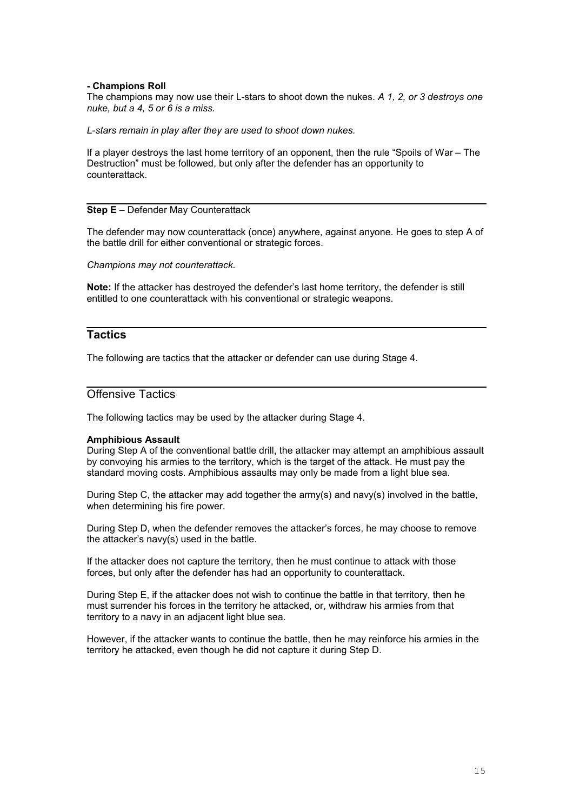## **- Champions Roll**

The champions may now use their L-stars to shoot down the nukes. *A 1, 2, or 3 destroys one nuke, but a 4, 5 or 6 is a miss.*

*L-stars remain in play after they are used to shoot down nukes.*

If a player destroys the last home territory of an opponent, then the rule "Spoils of War – The Destruction" must be followed, but only after the defender has an opportunity to counterattack.

## **Step E** – Defender May Counterattack

The defender may now counterattack (once) anywhere, against anyone. He goes to step A of the battle drill for either conventional or strategic forces.

*Champions may not counterattack.*

**Note:** If the attacker has destroyed the defender's last home territory, the defender is still entitled to one counterattack with his conventional or strategic weapons.

# **Tactics**

The following are tactics that the attacker or defender can use during Stage 4.

# Offensive Tactics

The following tactics may be used by the attacker during Stage 4.

## **Amphibious Assault**

During Step A of the conventional battle drill, the attacker may attempt an amphibious assault by convoying his armies to the territory, which is the target of the attack. He must pay the standard moving costs. Amphibious assaults may only be made from a light blue sea.

During Step C, the attacker may add together the army(s) and navy(s) involved in the battle, when determining his fire power.

During Step D, when the defender removes the attacker's forces, he may choose to remove the attacker's navy(s) used in the battle.

If the attacker does not capture the territory, then he must continue to attack with those forces, but only after the defender has had an opportunity to counterattack.

During Step E, if the attacker does not wish to continue the battle in that territory, then he must surrender his forces in the territory he attacked, or, withdraw his armies from that territory to a navy in an adjacent light blue sea.

However, if the attacker wants to continue the battle, then he may reinforce his armies in the territory he attacked, even though he did not capture it during Step D.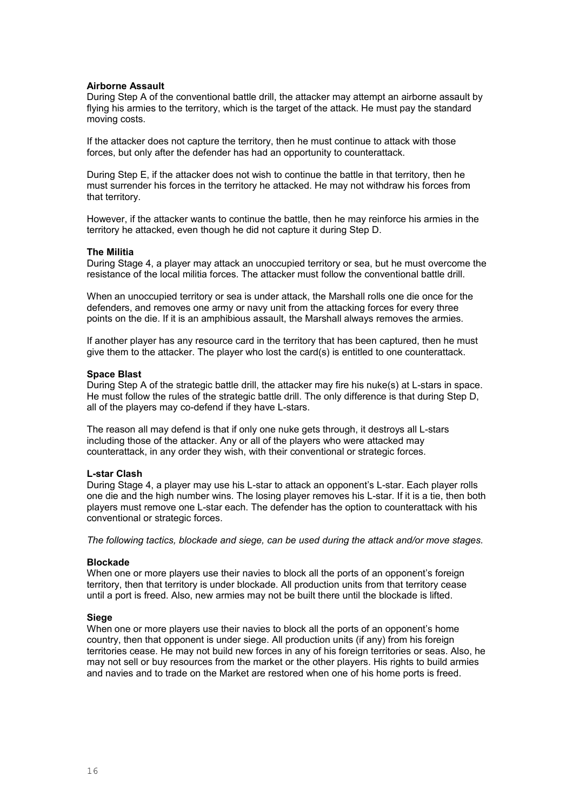## **Airborne Assault**

During Step A of the conventional battle drill, the attacker may attempt an airborne assault by flying his armies to the territory, which is the target of the attack. He must pay the standard moving costs.

If the attacker does not capture the territory, then he must continue to attack with those forces, but only after the defender has had an opportunity to counterattack.

During Step E, if the attacker does not wish to continue the battle in that territory, then he must surrender his forces in the territory he attacked. He may not withdraw his forces from that territory.

However, if the attacker wants to continue the battle, then he may reinforce his armies in the territory he attacked, even though he did not capture it during Step D.

#### **The Militia**

During Stage 4, a player may attack an unoccupied territory or sea, but he must overcome the resistance of the local militia forces. The attacker must follow the conventional battle drill.

When an unoccupied territory or sea is under attack, the Marshall rolls one die once for the defenders, and removes one army or navy unit from the attacking forces for every three points on the die. If it is an amphibious assault, the Marshall always removes the armies.

If another player has any resource card in the territory that has been captured, then he must give them to the attacker. The player who lost the card(s) is entitled to one counterattack.

## **Space Blast**

During Step A of the strategic battle drill, the attacker may fire his nuke(s) at L-stars in space. He must follow the rules of the strategic battle drill. The only difference is that during Step D, all of the players may co-defend if they have L-stars.

The reason all may defend is that if only one nuke gets through, it destroys all L-stars including those of the attacker. Any or all of the players who were attacked may counterattack, in any order they wish, with their conventional or strategic forces.

#### **L-star Clash**

During Stage 4, a player may use his L-star to attack an opponent's L-star. Each player rolls one die and the high number wins. The losing player removes his L-star. If it is a tie, then both players must remove one L-star each. The defender has the option to counterattack with his conventional or strategic forces.

*The following tactics, blockade and siege, can be used during the attack and/or move stages.*

#### **Blockade**

When one or more players use their navies to block all the ports of an opponent's foreign territory, then that territory is under blockade. All production units from that territory cease until a port is freed. Also, new armies may not be built there until the blockade is lifted.

#### **Siege**

When one or more players use their navies to block all the ports of an opponent's home country, then that opponent is under siege. All production units (if any) from his foreign territories cease. He may not build new forces in any of his foreign territories or seas. Also, he may not sell or buy resources from the market or the other players. His rights to build armies and navies and to trade on the Market are restored when one of his home ports is freed.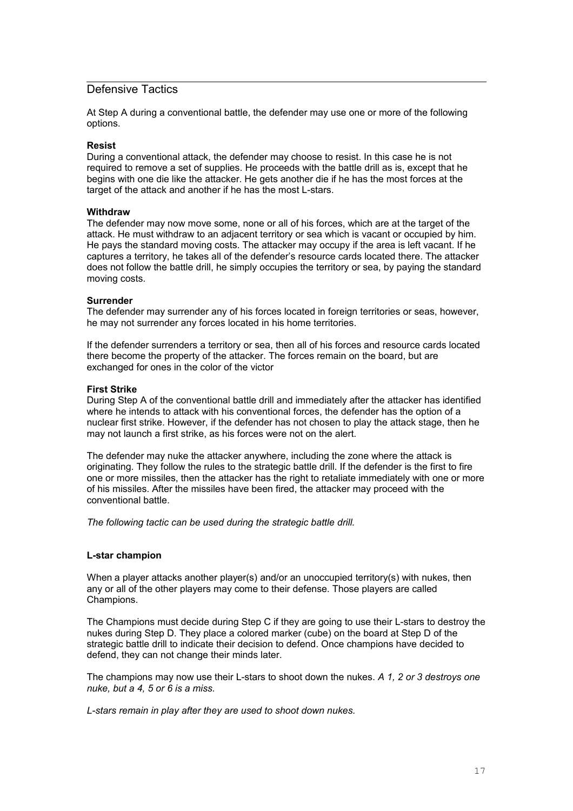## Defensive Tactics

At Step A during a conventional battle, the defender may use one or more of the following options.

## **Resist**

During a conventional attack, the defender may choose to resist. In this case he is not required to remove a set of supplies. He proceeds with the battle drill as is, except that he begins with one die like the attacker. He gets another die if he has the most forces at the target of the attack and another if he has the most L-stars.

## **Withdraw**

The defender may now move some, none or all of his forces, which are at the target of the attack. He must withdraw to an adjacent territory or sea which is vacant or occupied by him. He pays the standard moving costs. The attacker may occupy if the area is left vacant. If he captures a territory, he takes all of the defender's resource cards located there. The attacker does not follow the battle drill, he simply occupies the territory or sea, by paying the standard moving costs.

## **Surrender**

The defender may surrender any of his forces located in foreign territories or seas, however, he may not surrender any forces located in his home territories.

If the defender surrenders a territory or sea, then all of his forces and resource cards located there become the property of the attacker. The forces remain on the board, but are exchanged for ones in the color of the victor

## **First Strike**

During Step A of the conventional battle drill and immediately after the attacker has identified where he intends to attack with his conventional forces, the defender has the option of a nuclear first strike. However, if the defender has not chosen to play the attack stage, then he may not launch a first strike, as his forces were not on the alert.

The defender may nuke the attacker anywhere, including the zone where the attack is originating. They follow the rules to the strategic battle drill. If the defender is the first to fire one or more missiles, then the attacker has the right to retaliate immediately with one or more of his missiles. After the missiles have been fired, the attacker may proceed with the conventional battle.

*The following tactic can be used during the strategic battle drill.*

## **L-star champion**

When a player attacks another player(s) and/or an unoccupied territory(s) with nukes, then any or all of the other players may come to their defense. Those players are called Champions.

The Champions must decide during Step C if they are going to use their L-stars to destroy the nukes during Step D. They place a colored marker (cube) on the board at Step D of the strategic battle drill to indicate their decision to defend. Once champions have decided to defend, they can not change their minds later.

The champions may now use their L-stars to shoot down the nukes. *A 1, 2 or 3 destroys one nuke, but a 4, 5 or 6 is a miss.*

*L-stars remain in play after they are used to shoot down nukes.*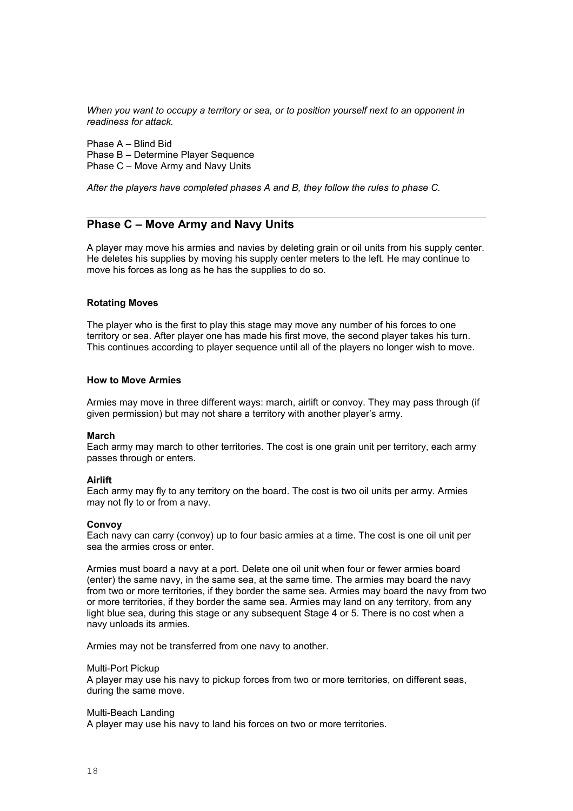*When you want to occupy a territory or sea, or to position yourself next to an opponent in readiness for attack.*

Phase A – Blind Bid Phase B – Determine Player Sequence Phase C – Move Army and Navy Units

*After the players have completed phases A and B, they follow the rules to phase C.*

## **Phase C – Move Army and Navy Units**

A player may move his armies and navies by deleting grain or oil units from his supply center. He deletes his supplies by moving his supply center meters to the left. He may continue to move his forces as long as he has the supplies to do so.

#### **Rotating Moves**

The player who is the first to play this stage may move any number of his forces to one territory or sea. After player one has made his first move, the second player takes his turn. This continues according to player sequence until all of the players no longer wish to move.

#### **How to Move Armies**

Armies may move in three different ways: march, airlift or convoy. They may pass through (if given permission) but may not share a territory with another player's army.

#### **March**

Each army may march to other territories. The cost is one grain unit per territory, each army passes through or enters.

#### **Airlift**

Each army may fly to any territory on the board. The cost is two oil units per army. Armies may not fly to or from a navy.

#### **Convoy**

Each navy can carry (convoy) up to four basic armies at a time. The cost is one oil unit per sea the armies cross or enter.

Armies must board a navy at a port. Delete one oil unit when four or fewer armies board (enter) the same navy, in the same sea, at the same time. The armies may board the navy from two or more territories, if they border the same sea. Armies may board the navy from two or more territories, if they border the same sea. Armies may land on any territory, from any light blue sea, during this stage or any subsequent Stage 4 or 5. There is no cost when a navy unloads its armies.

Armies may not be transferred from one navy to another.

#### Multi-Port Pickup

A player may use his navy to pickup forces from two or more territories, on different seas, during the same move.

#### Multi-Beach Landing

A player may use his navy to land his forces on two or more territories.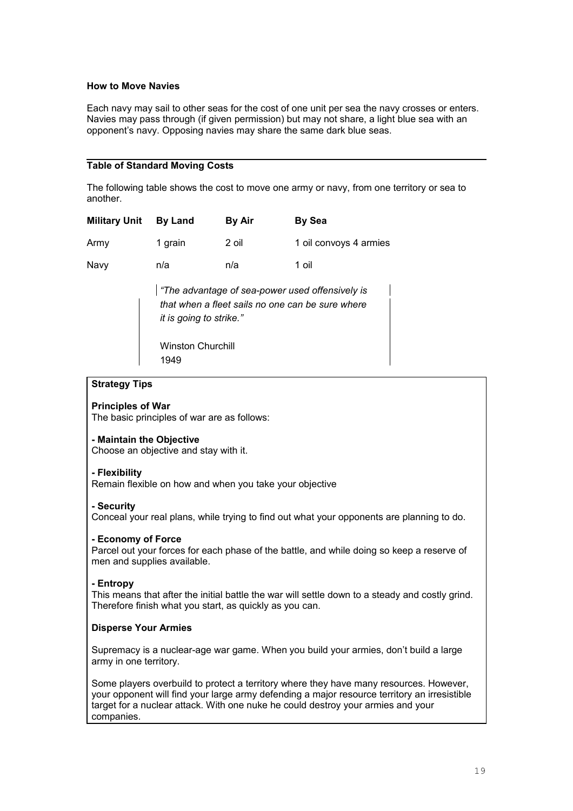## **How to Move Navies**

Each navy may sail to other seas for the cost of one unit per sea the navy crosses or enters. Navies may pass through (if given permission) but may not share, a light blue sea with an opponent's navy. Opposing navies may share the same dark blue seas.

## **Table of Standard Moving Costs**

The following table shows the cost to move one army or navy, from one territory or sea to another.

| <b>Military Unit</b> | <b>By Land</b> | By Air | <b>By Sea</b>          |
|----------------------|----------------|--------|------------------------|
| Army                 | 1 grain        | 2 oil  | 1 oil convoys 4 armies |
| Navy                 | n/a            | n/a    | 1 oil                  |

*"The advantage of sea-power used offensively is that when a fleet sails no one can be sure where it is going to strike."*

Winston Churchill 1949

## **Strategy Tips**

## **Principles of War**

The basic principles of war are as follows:

## **- Maintain the Objective**

Choose an objective and stay with it.

## **- Flexibility**

Remain flexible on how and when you take your objective

## **- Security**

Conceal your real plans, while trying to find out what your opponents are planning to do.

## **- Economy of Force**

Parcel out your forces for each phase of the battle, and while doing so keep a reserve of men and supplies available.

## **- Entropy**

This means that after the initial battle the war will settle down to a steady and costly grind. Therefore finish what you start, as quickly as you can.

# **Disperse Your Armies**

Supremacy is a nuclear-age war game. When you build your armies, don't build a large army in one territory.

Some players overbuild to protect a territory where they have many resources. However, your opponent will find your large army defending a major resource territory an irresistible target for a nuclear attack. With one nuke he could destroy your armies and your companies.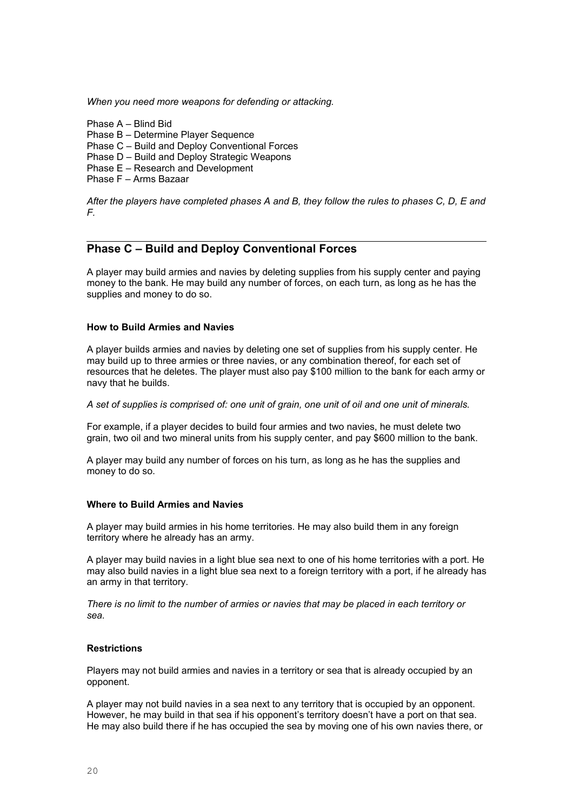*When you need more weapons for defending or attacking.*

Phase A – Blind Bid

Phase B – Determine Player Sequence

Phase C – Build and Deploy Conventional Forces

Phase D – Build and Deploy Strategic Weapons

Phase E – Research and Development

Phase F – Arms Bazaar

*After the players have completed phases A and B, they follow the rules to phases C, D, E and F.*

# **Phase C – Build and Deploy Conventional Forces**

A player may build armies and navies by deleting supplies from his supply center and paying money to the bank. He may build any number of forces, on each turn, as long as he has the supplies and money to do so.

## **How to Build Armies and Navies**

A player builds armies and navies by deleting one set of supplies from his supply center. He may build up to three armies or three navies, or any combination thereof, for each set of resources that he deletes. The player must also pay \$100 million to the bank for each army or navy that he builds.

*A set of supplies is comprised of: one unit of grain, one unit of oil and one unit of minerals.*

For example, if a player decides to build four armies and two navies, he must delete two grain, two oil and two mineral units from his supply center, and pay \$600 million to the bank.

A player may build any number of forces on his turn, as long as he has the supplies and money to do so.

## **Where to Build Armies and Navies**

A player may build armies in his home territories. He may also build them in any foreign territory where he already has an army.

A player may build navies in a light blue sea next to one of his home territories with a port. He may also build navies in a light blue sea next to a foreign territory with a port, if he already has an army in that territory.

*There is no limit to the number of armies or navies that may be placed in each territory or sea.*

## **Restrictions**

Players may not build armies and navies in a territory or sea that is already occupied by an opponent.

A player may not build navies in a sea next to any territory that is occupied by an opponent. However, he may build in that sea if his opponent's territory doesn't have a port on that sea. He may also build there if he has occupied the sea by moving one of his own navies there, or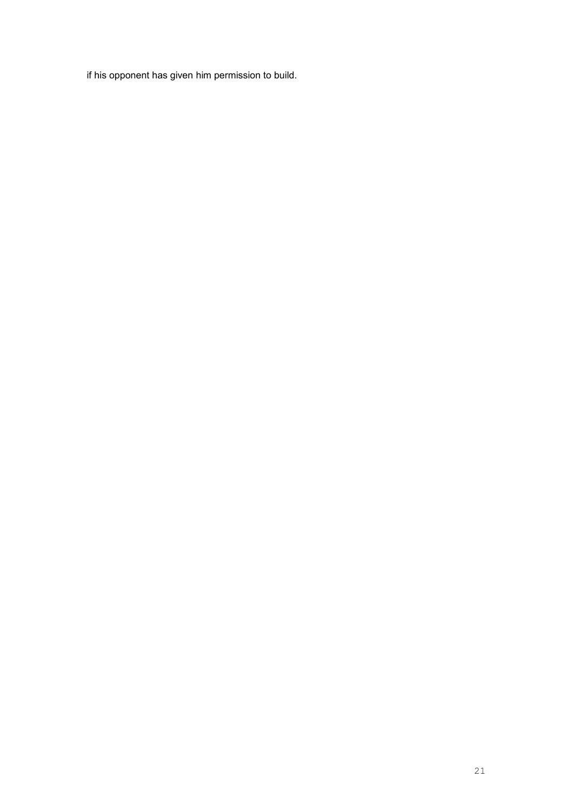if his opponent has given him permission to build.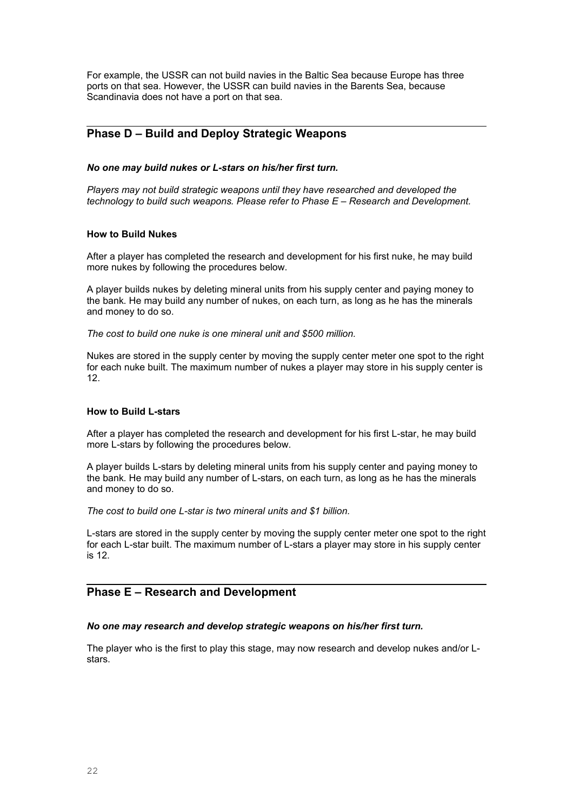For example, the USSR can not build navies in the Baltic Sea because Europe has three ports on that sea. However, the USSR can build navies in the Barents Sea, because Scandinavia does not have a port on that sea.

# **Phase D – Build and Deploy Strategic Weapons**

### *No one may build nukes or L-stars on his/her first turn.*

*Players may not build strategic weapons until they have researched and developed the technology to build such weapons. Please refer to Phase E – Research and Development.*

## **How to Build Nukes**

After a player has completed the research and development for his first nuke, he may build more nukes by following the procedures below.

A player builds nukes by deleting mineral units from his supply center and paying money to the bank. He may build any number of nukes, on each turn, as long as he has the minerals and money to do so.

*The cost to build one nuke is one mineral unit and \$500 million.*

Nukes are stored in the supply center by moving the supply center meter one spot to the right for each nuke built. The maximum number of nukes a player may store in his supply center is 12.

## **How to Build L-stars**

After a player has completed the research and development for his first L-star, he may build more L-stars by following the procedures below.

A player builds L-stars by deleting mineral units from his supply center and paying money to the bank. He may build any number of L-stars, on each turn, as long as he has the minerals and money to do so.

*The cost to build one L-star is two mineral units and \$1 billion.*

L-stars are stored in the supply center by moving the supply center meter one spot to the right for each L-star built. The maximum number of L-stars a player may store in his supply center is 12.

## **Phase E – Research and Development**

## *No one may research and develop strategic weapons on his/her first turn.*

The player who is the first to play this stage, may now research and develop nukes and/or Lstars.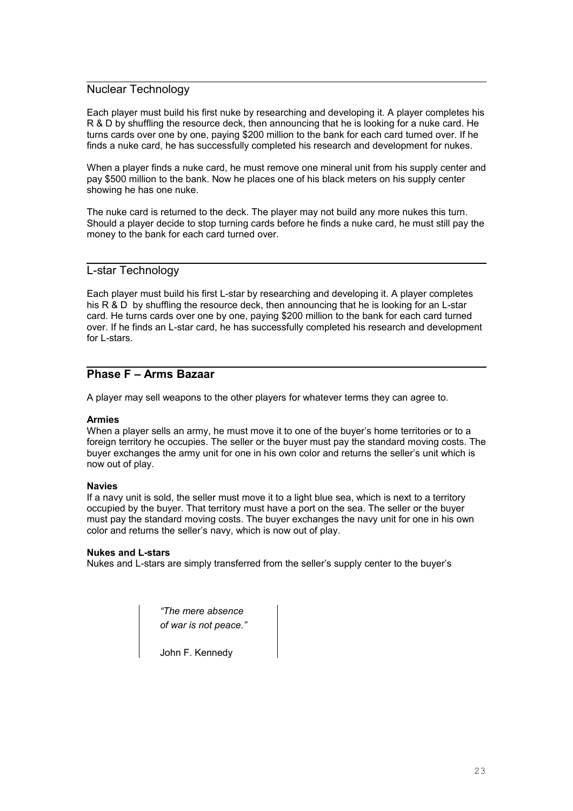# Nuclear Technology

Each player must build his first nuke by researching and developing it. A player completes his R & D by shuffling the resource deck, then announcing that he is looking for a nuke card. He turns cards over one by one, paying \$200 million to the bank for each card turned over. If he finds a nuke card, he has successfully completed his research and development for nukes.

When a player finds a nuke card, he must remove one mineral unit from his supply center and pay \$500 million to the bank. Now he places one of his black meters on his supply center showing he has one nuke.

The nuke card is returned to the deck. The player may not build any more nukes this turn. Should a player decide to stop turning cards before he finds a nuke card, he must still pay the money to the bank for each card turned over.

## L-star Technology

Each player must build his first L-star by researching and developing it. A player completes his R & D by shuffling the resource deck, then announcing that he is looking for an L-star card. He turns cards over one by one, paying \$200 million to the bank for each card turned over. If he finds an L-star card, he has successfully completed his research and development for L-stars.

# **Phase F – Arms Bazaar**

A player may sell weapons to the other players for whatever terms they can agree to.

## **Armies**

When a player sells an army, he must move it to one of the buyer's home territories or to a foreign territory he occupies. The seller or the buyer must pay the standard moving costs. The buyer exchanges the army unit for one in his own color and returns the seller's unit which is now out of play.

## **Navies**

If a navy unit is sold, the seller must move it to a light blue sea, which is next to a territory occupied by the buyer. That territory must have a port on the sea. The seller or the buyer must pay the standard moving costs. The buyer exchanges the navy unit for one in his own color and returns the seller's navy, which is now out of play.

## **Nukes and L-stars**

Nukes and L-stars are simply transferred from the seller's supply center to the buyer's

*"The mere absence of war is not peace."*

John F. Kennedy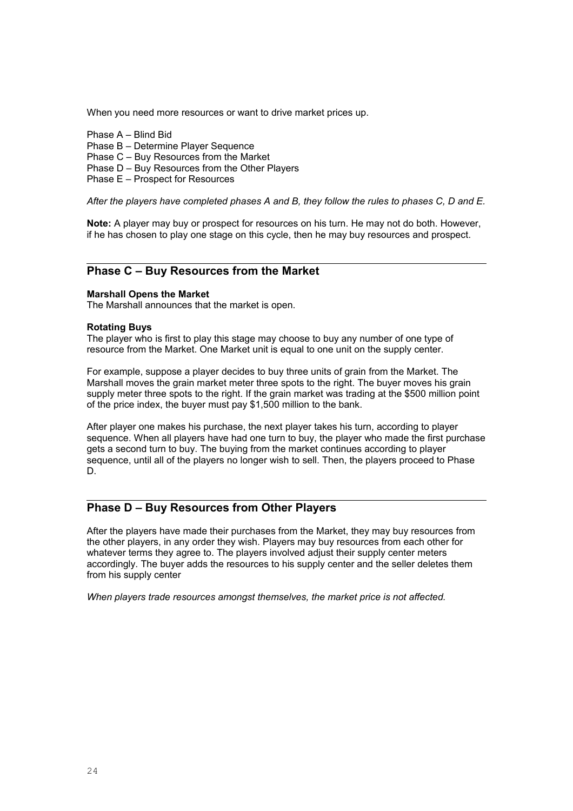When you need more resources or want to drive market prices up.

- Phase A Blind Bid
- Phase B Determine Player Sequence
- Phase C Buy Resources from the Market
- Phase D Buy Resources from the Other Players
- Phase E Prospect for Resources

*After the players have completed phases A and B, they follow the rules to phases C, D and E.*

**Note:** A player may buy or prospect for resources on his turn. He may not do both. However, if he has chosen to play one stage on this cycle, then he may buy resources and prospect.

# **Phase C – Buy Resources from the Market**

#### **Marshall Opens the Market**

The Marshall announces that the market is open.

#### **Rotating Buys**

The player who is first to play this stage may choose to buy any number of one type of resource from the Market. One Market unit is equal to one unit on the supply center.

For example, suppose a player decides to buy three units of grain from the Market. The Marshall moves the grain market meter three spots to the right. The buyer moves his grain supply meter three spots to the right. If the grain market was trading at the \$500 million point of the price index, the buyer must pay \$1,500 million to the bank.

After player one makes his purchase, the next player takes his turn, according to player sequence. When all players have had one turn to buy, the player who made the first purchase gets a second turn to buy. The buying from the market continues according to player sequence, until all of the players no longer wish to sell. Then, the players proceed to Phase D.

# **Phase D – Buy Resources from Other Players**

After the players have made their purchases from the Market, they may buy resources from the other players, in any order they wish. Players may buy resources from each other for whatever terms they agree to. The players involved adjust their supply center meters accordingly. The buyer adds the resources to his supply center and the seller deletes them from his supply center

*When players trade resources amongst themselves, the market price is not affected.*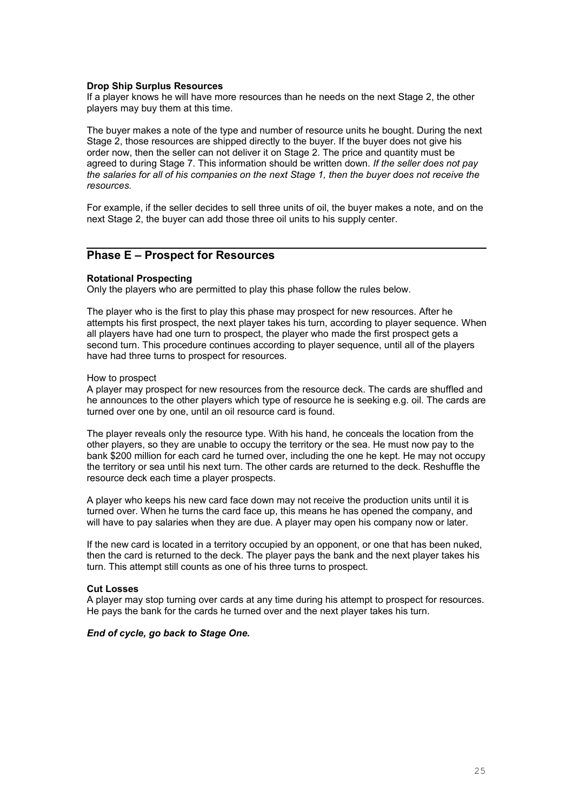## **Drop Ship Surplus Resources**

If a player knows he will have more resources than he needs on the next Stage 2, the other players may buy them at this time.

The buyer makes a note of the type and number of resource units he bought. During the next Stage 2, those resources are shipped directly to the buyer. If the buyer does not give his order now, then the seller can not deliver it on Stage 2. The price and quantity must be agreed to during Stage 7. This information should be written down. *If the seller does not pay the salaries for all of his companies on the next Stage 1, then the buyer does not receive the resources.*

For example, if the seller decides to sell three units of oil, the buyer makes a note, and on the next Stage 2, the buyer can add those three oil units to his supply center.

# **Phase E – Prospect for Resources**

## **Rotational Prospecting**

Only the players who are permitted to play this phase follow the rules below.

The player who is the first to play this phase may prospect for new resources. After he attempts his first prospect, the next player takes his turn, according to player sequence. When all players have had one turn to prospect, the player who made the first prospect gets a second turn. This procedure continues according to player sequence, until all of the players have had three turns to prospect for resources.

#### How to prospect

A player may prospect for new resources from the resource deck. The cards are shuffled and he announces to the other players which type of resource he is seeking e.g. oil. The cards are turned over one by one, until an oil resource card is found.

The player reveals only the resource type. With his hand, he conceals the location from the other players, so they are unable to occupy the territory or the sea. He must now pay to the bank \$200 million for each card he turned over, including the one he kept. He may not occupy the territory or sea until his next turn. The other cards are returned to the deck. Reshuffle the resource deck each time a player prospects.

A player who keeps his new card face down may not receive the production units until it is turned over. When he turns the card face up, this means he has opened the company, and will have to pay salaries when they are due. A player may open his company now or later.

If the new card is located in a territory occupied by an opponent, or one that has been nuked, then the card is returned to the deck. The player pays the bank and the next player takes his turn. This attempt still counts as one of his three turns to prospect.

#### **Cut Losses**

A player may stop turning over cards at any time during his attempt to prospect for resources. He pays the bank for the cards he turned over and the next player takes his turn.

## *End of cycle, go back to Stage One.*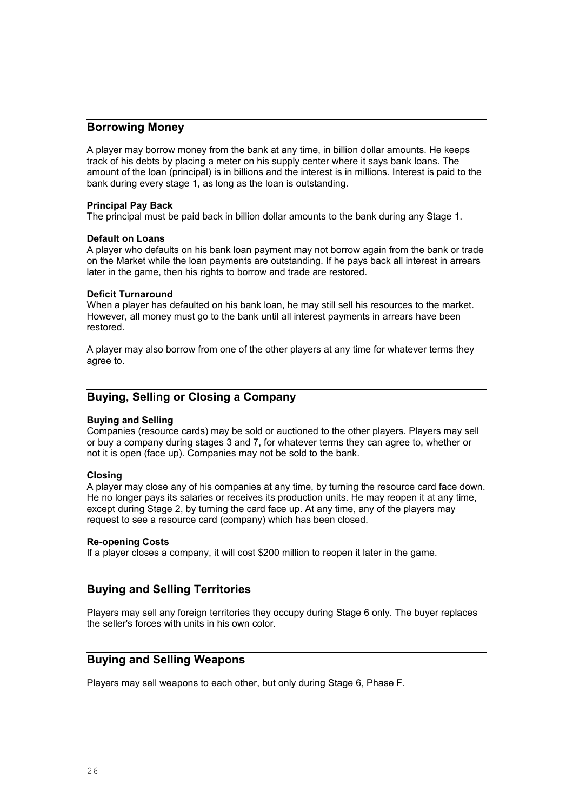# **Borrowing Money**

A player may borrow money from the bank at any time, in billion dollar amounts. He keeps track of his debts by placing a meter on his supply center where it says bank loans. The amount of the loan (principal) is in billions and the interest is in millions. Interest is paid to the bank during every stage 1, as long as the loan is outstanding.

## **Principal Pay Back**

The principal must be paid back in billion dollar amounts to the bank during any Stage 1.

## **Default on Loans**

A player who defaults on his bank loan payment may not borrow again from the bank or trade on the Market while the loan payments are outstanding. If he pays back all interest in arrears later in the game, then his rights to borrow and trade are restored.

## **Deficit Turnaround**

When a player has defaulted on his bank loan, he may still sell his resources to the market. However, all money must go to the bank until all interest payments in arrears have been restored.

A player may also borrow from one of the other players at any time for whatever terms they agree to.

# **Buying, Selling or Closing a Company**

## **Buying and Selling**

Companies (resource cards) may be sold or auctioned to the other players. Players may sell or buy a company during stages 3 and 7, for whatever terms they can agree to, whether or not it is open (face up). Companies may not be sold to the bank.

## **Closing**

A player may close any of his companies at any time, by turning the resource card face down. He no longer pays its salaries or receives its production units. He may reopen it at any time, except during Stage 2, by turning the card face up. At any time, any of the players may request to see a resource card (company) which has been closed.

## **Re-opening Costs**

If a player closes a company, it will cost \$200 million to reopen it later in the game.

# **Buying and Selling Territories**

Players may sell any foreign territories they occupy during Stage 6 only. The buyer replaces the seller's forces with units in his own color.

# **Buying and Selling Weapons**

Players may sell weapons to each other, but only during Stage 6, Phase F.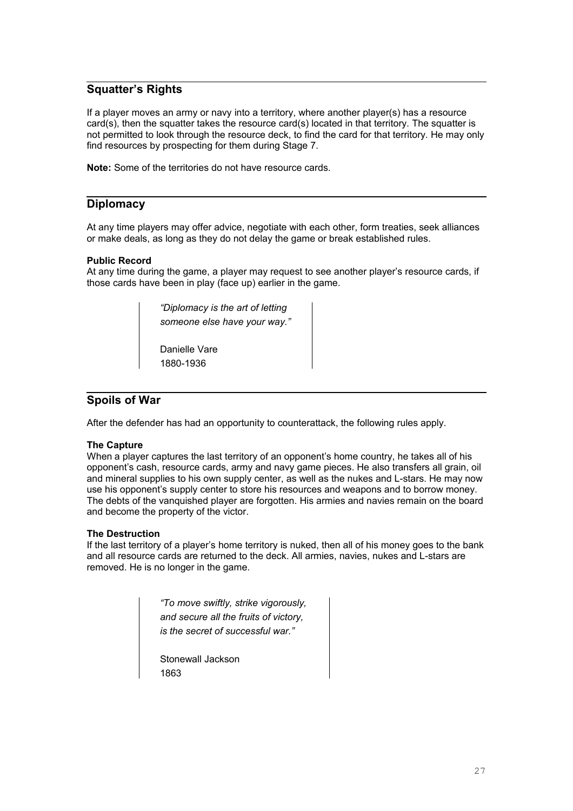# **Squatter's Rights**

If a player moves an army or navy into a territory, where another player(s) has a resource card(s), then the squatter takes the resource card(s) located in that territory. The squatter is not permitted to look through the resource deck, to find the card for that territory. He may only find resources by prospecting for them during Stage 7.

**Note:** Some of the territories do not have resource cards.

# **Diplomacy**

At any time players may offer advice, negotiate with each other, form treaties, seek alliances or make deals, as long as they do not delay the game or break established rules.

## **Public Record**

At any time during the game, a player may request to see another player's resource cards, if those cards have been in play (face up) earlier in the game.

> *"Diplomacy is the art of letting someone else have your way."*

Danielle Vare 1880-1936

# **Spoils of War**

After the defender has had an opportunity to counterattack, the following rules apply.

## **The Capture**

When a player captures the last territory of an opponent's home country, he takes all of his opponent's cash, resource cards, army and navy game pieces. He also transfers all grain, oil and mineral supplies to his own supply center, as well as the nukes and L-stars. He may now use his opponent's supply center to store his resources and weapons and to borrow money. The debts of the vanquished player are forgotten. His armies and navies remain on the board and become the property of the victor.

## **The Destruction**

If the last territory of a player's home territory is nuked, then all of his money goes to the bank and all resource cards are returned to the deck. All armies, navies, nukes and L-stars are removed. He is no longer in the game.

> *"To move swiftly, strike vigorously, and secure all the fruits of victory, is the secret of successful war."*

Stonewall Jackson 1863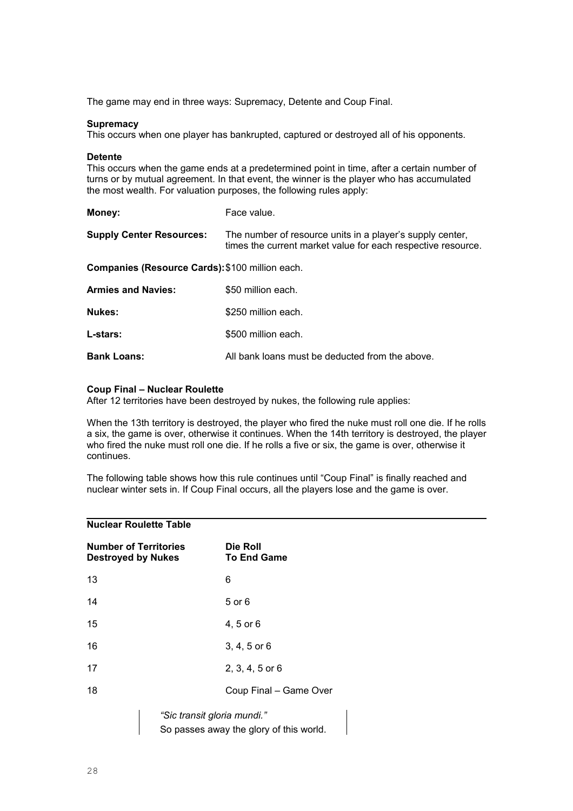The game may end in three ways: Supremacy, Detente and Coup Final.

#### **Supremacy**

This occurs when one player has bankrupted, captured or destroyed all of his opponents.

#### **Detente**

This occurs when the game ends at a predetermined point in time, after a certain number of turns or by mutual agreement. In that event, the winner is the player who has accumulated the most wealth. For valuation purposes, the following rules apply:

| Money:                                          | Face value.                                                                                                               |  |
|-------------------------------------------------|---------------------------------------------------------------------------------------------------------------------------|--|
| <b>Supply Center Resources:</b>                 | The number of resource units in a player's supply center,<br>times the current market value for each respective resource. |  |
| Companies (Resource Cards): \$100 million each. |                                                                                                                           |  |
| <b>Armies and Navies:</b>                       | \$50 million each.                                                                                                        |  |
| Nukes:                                          | \$250 million each.                                                                                                       |  |
| L-stars:                                        | \$500 million each.                                                                                                       |  |
| <b>Bank Loans:</b>                              | All bank loans must be deducted from the above.                                                                           |  |

#### **Coup Final – Nuclear Roulette**

After 12 territories have been destroyed by nukes, the following rule applies:

When the 13th territory is destroyed, the player who fired the nuke must roll one die. If he rolls a six, the game is over, otherwise it continues. When the 14th territory is destroyed, the player who fired the nuke must roll one die. If he rolls a five or six, the game is over, otherwise it continues.

The following table shows how this rule continues until "Coup Final" is finally reached and nuclear winter sets in. If Coup Final occurs, all the players lose and the game is over.

## **Nuclear Roulette Table**

| <b>Number of Territories</b><br><b>Destroyed by Nukes</b> | Die Roll<br><b>To End Game</b> |
|-----------------------------------------------------------|--------------------------------|
| 13                                                        | 6                              |
| 14                                                        | 5 or 6                         |
| 15                                                        | 4, 5 or 6                      |
| 16                                                        | $3, 4, 5$ or 6                 |
| 17                                                        | $2, 3, 4, 5$ or 6              |
| 18                                                        | Coup Final - Game Over         |
|                                                           | "Sic transit gloria mundi."    |

So passes away the glory of this world.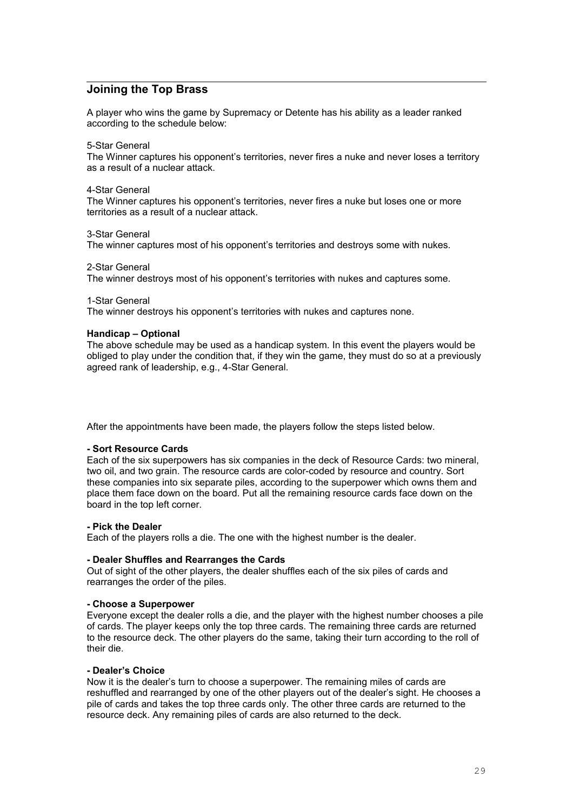# **Joining the Top Brass**

A player who wins the game by Supremacy or Detente has his ability as a leader ranked according to the schedule below:

5-Star General

The Winner captures his opponent's territories, never fires a nuke and never loses a territory as a result of a nuclear attack.

## 4-Star General

The Winner captures his opponent's territories, never fires a nuke but loses one or more territories as a result of a nuclear attack.

3-Star General

The winner captures most of his opponent's territories and destroys some with nukes.

2-Star General

The winner destroys most of his opponent's territories with nukes and captures some.

1-Star General

The winner destroys his opponent's territories with nukes and captures none.

## **Handicap – Optional**

The above schedule may be used as a handicap system. In this event the players would be obliged to play under the condition that, if they win the game, they must do so at a previously agreed rank of leadership, e.g., 4-Star General.

After the appointments have been made, the players follow the steps listed below.

## **- Sort Resource Cards**

Each of the six superpowers has six companies in the deck of Resource Cards: two mineral, two oil, and two grain. The resource cards are color-coded by resource and country. Sort these companies into six separate piles, according to the superpower which owns them and place them face down on the board. Put all the remaining resource cards face down on the board in the top left corner.

## **- Pick the Dealer**

Each of the players rolls a die. The one with the highest number is the dealer.

#### **- Dealer Shuffles and Rearranges the Cards**

Out of sight of the other players, the dealer shuffles each of the six piles of cards and rearranges the order of the piles.

#### **- Choose a Superpower**

Everyone except the dealer rolls a die, and the player with the highest number chooses a pile of cards. The player keeps only the top three cards. The remaining three cards are returned to the resource deck. The other players do the same, taking their turn according to the roll of their die.

#### **- Dealer's Choice**

Now it is the dealer's turn to choose a superpower. The remaining miles of cards are reshuffled and rearranged by one of the other players out of the dealer's sight. He chooses a pile of cards and takes the top three cards only. The other three cards are returned to the resource deck. Any remaining piles of cards are also returned to the deck.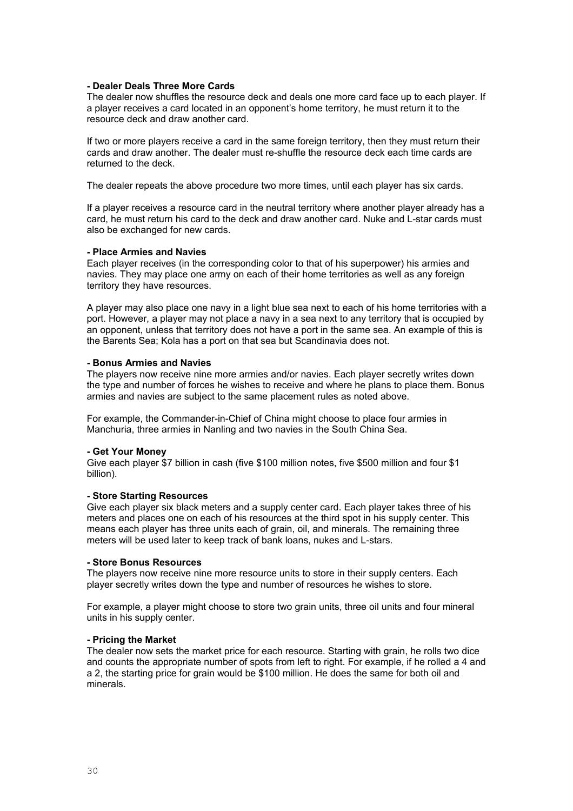### **- Dealer Deals Three More Cards**

The dealer now shuffles the resource deck and deals one more card face up to each player. If a player receives a card located in an opponent's home territory, he must return it to the resource deck and draw another card.

If two or more players receive a card in the same foreign territory, then they must return their cards and draw another. The dealer must re-shuffle the resource deck each time cards are returned to the deck.

The dealer repeats the above procedure two more times, until each player has six cards.

If a player receives a resource card in the neutral territory where another player already has a card, he must return his card to the deck and draw another card. Nuke and L-star cards must also be exchanged for new cards.

#### **- Place Armies and Navies**

Each player receives (in the corresponding color to that of his superpower) his armies and navies. They may place one army on each of their home territories as well as any foreign territory they have resources.

A player may also place one navy in a light blue sea next to each of his home territories with a port. However, a player may not place a navy in a sea next to any territory that is occupied by an opponent, unless that territory does not have a port in the same sea. An example of this is the Barents Sea; Kola has a port on that sea but Scandinavia does not.

#### **- Bonus Armies and Navies**

The players now receive nine more armies and/or navies. Each player secretly writes down the type and number of forces he wishes to receive and where he plans to place them. Bonus armies and navies are subject to the same placement rules as noted above.

For example, the Commander-in-Chief of China might choose to place four armies in Manchuria, three armies in Nanling and two navies in the South China Sea.

#### **- Get Your Money**

Give each player \$7 billion in cash (five \$100 million notes, five \$500 million and four \$1 billion).

## **- Store Starting Resources**

Give each player six black meters and a supply center card. Each player takes three of his meters and places one on each of his resources at the third spot in his supply center. This means each player has three units each of grain, oil, and minerals. The remaining three meters will be used later to keep track of bank loans, nukes and L-stars.

#### **- Store Bonus Resources**

The players now receive nine more resource units to store in their supply centers. Each player secretly writes down the type and number of resources he wishes to store.

For example, a player might choose to store two grain units, three oil units and four mineral units in his supply center.

#### **- Pricing the Market**

The dealer now sets the market price for each resource. Starting with grain, he rolls two dice and counts the appropriate number of spots from left to right. For example, if he rolled a 4 and a 2, the starting price for grain would be \$100 million. He does the same for both oil and minerals.